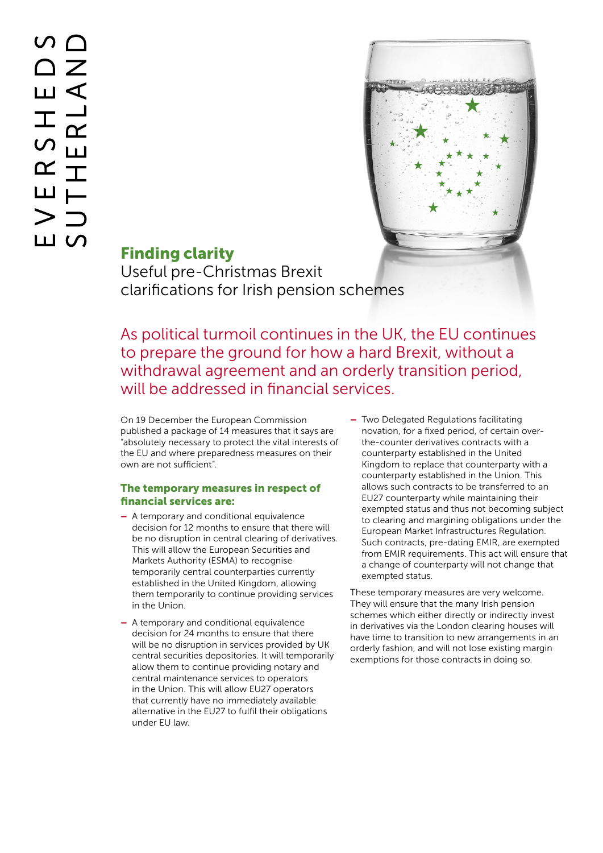

# Finding clarity

Useful pre-Christmas Brexit clarifications for Irish pension schemes

As political turmoil continues in the UK, the EU continues to prepare the ground for how a hard Brexit, without a withdrawal agreement and an orderly transition period, will be addressed in financial services.

On 19 December the European Commission published a package of 14 measures that it says are "absolutely necessary to protect the vital interests of the EU and where preparedness measures on their own are not sufficient".

### The temporary measures in respect of financial services are:

- A temporary and conditional equivalence decision for 12 months to ensure that there will be no disruption in central clearing of derivatives. This will allow the European Securities and Markets Authority (ESMA) to recognise temporarily central counterparties currently established in the United Kingdom, allowing them temporarily to continue providing services in the Union.
- A temporary and conditional equivalence decision for 24 months to ensure that there will be no disruption in services provided by UK central securities depositories. It will temporarily allow them to continue providing notary and central maintenance services to operators in the Union. This will allow EU27 operators that currently have no immediately available alternative in the EU27 to fulfil their obligations under EU law.
- Two Delegated Regulations facilitating novation, for a fixed period, of certain overthe-counter derivatives contracts with a counterparty established in the United Kingdom to replace that counterparty with a counterparty established in the Union. This allows such contracts to be transferred to an EU27 counterparty while maintaining their exempted status and thus not becoming subject to clearing and margining obligations under the European Market Infrastructures Regulation. Such contracts, pre-dating EMIR, are exempted from EMIR requirements. This act will ensure that a change of counterparty will not change that exempted status.

These temporary measures are very welcome. They will ensure that the many Irish pension schemes which either directly or indirectly invest in derivatives via the London clearing houses will have time to transition to new arrangements in an orderly fashion, and will not lose existing margin exemptions for those contracts in doing so.